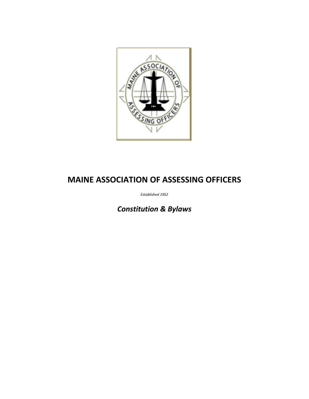

# **MAINE ASSOCIATION OF ASSESSING OFFICERS**

*Established 1952*

*Constitution & Bylaws*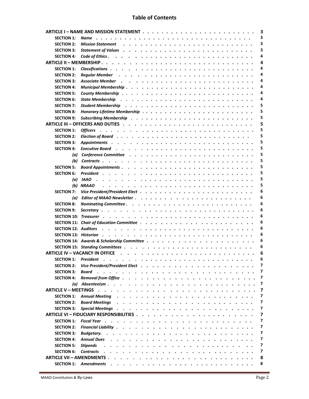# **Table of Contents**

| 3                                |                                                                                                                                                                                                                                                                                         |
|----------------------------------|-----------------------------------------------------------------------------------------------------------------------------------------------------------------------------------------------------------------------------------------------------------------------------------------|
| <b>SECTION 1:</b>                | 3<br>Name                                                                                                                                                                                                                                                                               |
| <b>SECTION 2:</b>                | 3<br>Mission Statement (a) and a contract a contract of the contract of the contract of the Mission State of the St                                                                                                                                                                     |
| <b>SECTION 3:</b>                | 3                                                                                                                                                                                                                                                                                       |
| <b>SECTION 4:</b>                | 4                                                                                                                                                                                                                                                                                       |
|                                  | 4                                                                                                                                                                                                                                                                                       |
| <b>SECTION 1:</b>                | 4                                                                                                                                                                                                                                                                                       |
| <b>SECTION 2:</b>                | 4                                                                                                                                                                                                                                                                                       |
| <b>SECTION 3:</b>                | 4<br><b>Associate Member</b>                                                                                                                                                                                                                                                            |
| <b>SECTION 4:</b>                | 4                                                                                                                                                                                                                                                                                       |
| <b>SECTION 5:</b>                | 4                                                                                                                                                                                                                                                                                       |
| <b>SECTION 6:</b>                | 4<br>State Membership $\cdots$ , $\cdots$ , $\cdots$ , $\cdots$ , $\cdots$ , $\cdots$ , $\cdots$ , $\cdots$ , $\cdots$ , $\cdots$ , $\cdots$                                                                                                                                            |
| <b>SECTION 7:</b>                | 5<br>Student Membership rotation and such a state of the state of the state of the state of the state of the state of the state of the state of the state of the state of the state of the state of the state of the state of the s                                                     |
| <b>SECTION 8:</b>                | 5                                                                                                                                                                                                                                                                                       |
| <b>SECTION 9:</b>                | 5                                                                                                                                                                                                                                                                                       |
|                                  | 5                                                                                                                                                                                                                                                                                       |
| <b>SECTION 1:</b>                | 5<br><b>Officers</b>                                                                                                                                                                                                                                                                    |
| <b>SECTION 2:</b>                | 5                                                                                                                                                                                                                                                                                       |
| <b>SECTION 3:</b>                | 5                                                                                                                                                                                                                                                                                       |
| <b>SECTION 4:</b>                | 5                                                                                                                                                                                                                                                                                       |
| (a)                              | 5                                                                                                                                                                                                                                                                                       |
| (b)                              | 5                                                                                                                                                                                                                                                                                       |
| <b>SECTION 5:</b>                | 5                                                                                                                                                                                                                                                                                       |
| <b>SECTION 6:</b>                | 5                                                                                                                                                                                                                                                                                       |
| (a)                              | 5<br><b>IAAO</b>                                                                                                                                                                                                                                                                        |
|                                  | 5<br>(b) NRAAO                                                                                                                                                                                                                                                                          |
| <b>SECTION 7:</b>                | 6                                                                                                                                                                                                                                                                                       |
| (a)                              | 6                                                                                                                                                                                                                                                                                       |
| <b>SECTION 8:</b>                | 6                                                                                                                                                                                                                                                                                       |
| <b>SECTION 9:</b>                | 6<br>Secretary.                                                                                                                                                                                                                                                                         |
|                                  | 6                                                                                                                                                                                                                                                                                       |
|                                  | 6                                                                                                                                                                                                                                                                                       |
|                                  | 6                                                                                                                                                                                                                                                                                       |
|                                  | 6                                                                                                                                                                                                                                                                                       |
|                                  | 6                                                                                                                                                                                                                                                                                       |
|                                  | 6                                                                                                                                                                                                                                                                                       |
|                                  | <b>ARTICLE IV - VACANCY IN OFFICE</b><br>6                                                                                                                                                                                                                                              |
| <b>SECTION 1:</b>                | 6<br>President                                                                                                                                                                                                                                                                          |
| <b>SECTION 2:</b>                | 7                                                                                                                                                                                                                                                                                       |
| <b>SECTION 3:</b>                | 7<br>Board                                                                                                                                                                                                                                                                              |
| <b>SECTION 4:</b>                | 7                                                                                                                                                                                                                                                                                       |
|                                  | 7<br>(a) Absenteeism<br>$\mathbf{r}$ , $\mathbf{r}$ , $\mathbf{r}$ , $\mathbf{r}$ , $\mathbf{r}$ , $\mathbf{r}$ , $\mathbf{r}$ , $\mathbf{r}$ , $\mathbf{r}$ , $\mathbf{r}$                                                                                                             |
| <b>ARTICLE V – MEETINGS</b>      | $\overline{\mathbf{z}}$<br>$\mathbf{r}$ , $\mathbf{r}$ , $\mathbf{r}$<br>and the state of the state of the state of the state of the state of the state of the state of the state of the<br>$\mathbf{r}$ and $\mathbf{r}$ and $\mathbf{r}$ and $\mathbf{r}$<br>$\overline{\phantom{a}}$ |
| <b>SECTION 1:</b>                | 7<br><b>Annual Meeting</b><br>.<br>$\begin{array}{cccccccccccccc} \bullet & \bullet & \bullet & \bullet & \bullet & \bullet & \bullet & \bullet & \bullet & \bullet \end{array}$<br>$\ddot{\phantom{0}}$                                                                                |
| <b>SECTION 2:</b>                | 7<br><b>Board Meetings</b><br>$\cdot$ $\cdot$ $\cdot$ $\cdot$ $\cdot$ $\cdot$ $\cdot$ $\cdot$<br>$\ddot{\phantom{a}}$<br>$\cdot$ $\cdot$ $\cdot$ $\cdot$ $\cdot$ $\cdot$ $\cdot$<br>$\sim$                                                                                              |
| <b>SECTION 3:</b>                | 7<br><b>Special Meetings</b> .<br>.<br>$\cdot$ $\cdot$ $\cdot$ $\cdot$ $\cdot$ $\cdot$                                                                                                                                                                                                  |
|                                  | ARTICLE VI - FIDUCIARY RESPONSIBILITIES<br>7<br>.                                                                                                                                                                                                                                       |
| <b>SECTION 1:</b>                | 7<br>Fiscal Year, , , , , , , , ,                                                                                                                                                                                                                                                       |
| <b>SECTION 2:</b>                | 7<br>Financial Liability<br>.<br>$\bullet$                                                                                                                                                                                                                                              |
| <b>SECTION 3:</b>                | 7<br>Budgetary.<br>the contract of the contract of the contract of the contract of the contract of the contract of the contract of the contract of the contract of the contract of the contract of the contract of the contract of the contract o                                       |
| <b>SECTION 4:</b>                | 7<br><b>Annual Dues</b><br>the contract of the contract of the contract of the contract of the contract of the contract of the contract of the contract of the contract of the contract of the contract of the contract of the contract of the contract o                               |
| <b>SECTION 5:</b>                | 7<br><b>Stipends</b>                                                                                                                                                                                                                                                                    |
| <b>SECTION 6:</b>                | 7<br><b>Contracts</b>                                                                                                                                                                                                                                                                   |
| <b>ARTICLE VII - AMENDMENTS.</b> | 8<br>the contract of the contract of the contract of the contract of the contract of the contract of the contract of the contract of the contract of the contract of the contract of the contract of the contract of the contract o                                                     |
| <b>SECTION 1:</b>                | 8<br><b>Amendments</b>                                                                                                                                                                                                                                                                  |
|                                  |                                                                                                                                                                                                                                                                                         |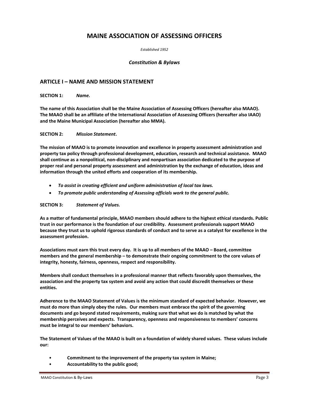# **MAINE ASSOCIATION OF ASSESSING OFFICERS**

*Established 1952*

#### *Constitution & Bylaws*

# **ARTICLE I – NAME AND MISSION STATEMENT**

**SECTION 1:** *Name.*

**The name of this Association shall be the Maine Association of Assessing Officers (hereafter also MAAO). The MAAO shall be an affiliate of the International Association of Assessing Officers (hereafter also IAAO) and the Maine Municipal Association (hereafter also MMA).**

#### **SECTION 2:** *Mission Statement***.**

**The mission of MAAO is to promote innovation and excellence in property assessment administration and property tax policy through professional development, education, research and technical assistance. MAAO shall continue as a nonpolitical, non-disciplinary and nonpartisan association dedicated to the purpose of proper real and personal property assessment and administration by the exchange of education, ideas and information through the united efforts and cooperation of its membership.** 

- *To assist in creating efficient and uniform administration of local tax laws.*
- *To promote public understanding of Assessing officials work to the general public.*

#### **SECTION 3:** *Statement of Values.*

**As a matter of fundamental principle, MAAO members should adhere to the highest ethical standards. Public trust in our performance is the foundation of our credibility. Assessment professionals support MAAO because they trust us to uphold rigorous standards of conduct and to serve as a catalyst for excellence in the assessment profession.**

**Associations must earn this trust every day. It is up to all members of the MAAO – Board, committee members and the general membership – to demonstrate their ongoing commitment to the core values of integrity, honesty, fairness, openness, respect and responsibility.**

**Members shall conduct themselves in a professional manner that reflects favorably upon themselves, the association and the property tax system and avoid any action that could discredit themselves or these entities.**

**Adherence to the MAAO Statement of Values is the minimum standard of expected behavior. However, we must do more than simply obey the rules. Our members must embrace the spirit of the governing documents and go beyond stated requirements, making sure that what we do is matched by what the membership perceives and expects. Transparency, openness and responsiveness to members' concerns must be integral to our members' behaviors.**

**The Statement of Values of the MAAO is built on a foundation of widely shared values. These values include our:**

- **Commitment to the improvement of the property tax system in Maine;**
- **Accountability to the public good;**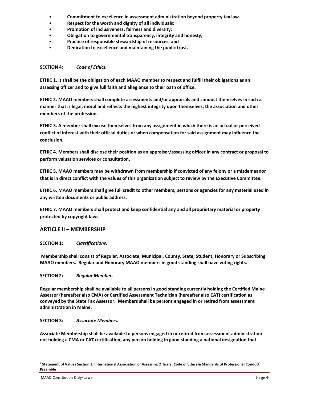- **Commitment to excellence in assessment administration beyond property tax law.**
- **Respect for the worth and dignity of all individuals;**
- **Promotion of inclusiveness, fairness and diversity;**
- **Obligation to governmental transparency, integrity and honesty;**
- **Practice of responsible stewardship of resources; and**
- **Dedication to excellence and maintaining the public trust.<sup>1</sup>**

# **SECTION 4:** *Code of Ethics.*

**ETHIC 1. It shall be the obligation of each MAAO member to respect and fulfill their obligations as an assessing officer and to give full faith and allegiance to their oath of office.**

**ETHIC 2. MAAO members shall complete assessments and/or appraisals and conduct themselves in such a manner that is legal, moral and reflects the highest integrity upon themselves, the association and other members of the profession.** 

**ETHIC 3. A member shall excuse themselves from any assignment in which there is an actual or perceived conflict of interest with their official duties or when compensation for said assignment may influence the conclusion.** 

**ETHIC 4. Members shall disclose their position as an appraiser/assessing officer in any contract or proposal to perform valuation services or consultation.** 

**ETHIC 5. MAAO members may be withdrawn from membership if convicted of any felony or a misdemeanor that is in direct conflict with the values of this organization subject to review by the Executive Committee.** 

**ETHIC 6. MAAO members shall give full credit to other members, persons or agencies for any material used in any written documents or public address.**

**ETHIC 7. MAAO members shall protect and keep confidential any and all proprietary material or property protected by copyright laws.** 

# **ARTICLE II – MEMBERSHIP**

**SECTION 1:** *Classifications.*

**Membership shall consist of Regular, Associate, Municipal, County, State, Student, Honorary or Subscribing MAAO members. Regular and Honorary MAAO members in good standing shall have voting rights.** 

# **SECTION 2:** *Regular Member.*

**Regular membership shall be available to all persons in good standing currently holding the Certified Maine Assessor (hereafter also CMA) or Certified Assessment Technician (hereafter also CAT) certification as conveyed by the State Tax Assessor. Members shall be persons engaged in or retired from assessment administration in Maine.**

# **SECTION 3:** *Associate Members.*

**Associate Membership shall be available to persons engaged in or retired from assessment administration not holding a CMA or CAT certification; any person holding in good standing a national designation that** 

**<sup>1</sup> Statement of Values Section 3; International Association of Assessing Officers; Code of Ethics & Standards of Professional Conduct Preamble**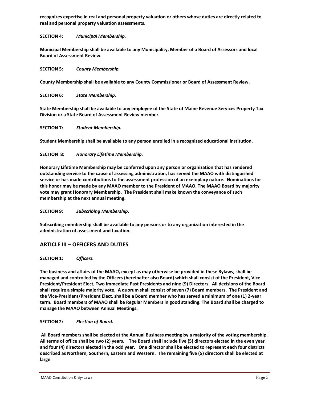**recognizes expertise in real and personal property valuation or others whose duties are directly related to real and personal property valuation assessments.**

# **SECTION 4:** *Municipal Membership.*

**Municipal Membership shall be available to any Municipality, Member of a Board of Assessors and local Board of Assessment Review.**

# **SECTION 5:** *County Membership.*

**County Membership shall be available to any County Commissioner or Board of Assessment Review.**

**SECTION 6:** *State Membership.*

**State Membership shall be available to any employee of the State of Maine Revenue Services Property Tax Division or a State Board of Assessment Review member.**

# **SECTION 7:** *Student Membership.*

**Student Membership shall be available to any person enrolled in a recognized educational institution.**

# **SECTION 8:** *Honorary Lifetime Membership.*

**Honorary Lifetime Membership may be conferred upon any person or organization that has rendered outstanding service to the cause of assessing administration, has served the MAAO with distinguished service or has made contributions to the assessment profession of an exemplary nature. Nominations for this honor may be made by any MAAO member to the President of MAAO. The MAAO Board by majority vote may grant Honorary Membership. The President shall make known the conveyance of such membership at the next annual meeting.**

# **SECTION 9:** *Subscribing Membership***.**

**Subscribing membership shall be available to any persons or to any organization interested in the administration of assessment and taxation.**

# **ARTICLE III – OFFICERS AND DUTIES**

**SECTION 1:** *Officers.*

**The business and affairs of the MAAO, except as may otherwise be provided in these Bylaws, shall be managed and controlled by the Officers (hereinafter also Board) which shall consist of the President, Vice President/President Elect, Two Immediate Past Presidents and nine (9) Directors. All decisions of the Board shall require a simple majority vote. A quorum shall consist of seven (7) Board members. The President and the Vice-President/President Elect, shall be a Board member who has served a minimum of one (1) 2-year term. Board members of MAAO shall be Regular Members in good standing. The Board shall be charged to manage the MAAO between Annual Meetings.**

# **SECTION 2:** *Election of Board.*

**All Board members shall be elected at the Annual Business meeting by a majority of the voting membership. All terms of office shall be two (2) years. The Board shall include five (5) directors elected in the even year and four (4) directors elected in the odd year. One director shall be elected to represent each four districts described as Northern, Southern, Eastern and Western. The remaining five (5) directors shall be elected at large**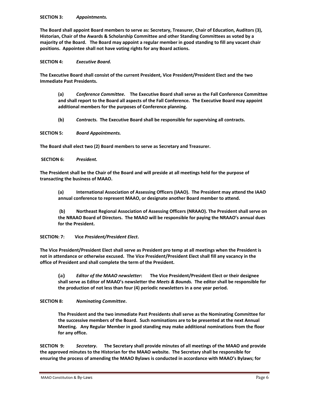#### **SECTION 3:** *Appointments.*

**The Board shall appoint Board members to serve as: Secretary, Treasurer, Chair of Education, Auditors (3), Historian, Chair of the Awards & Scholarship Committee and other Standing Committees as voted by a majority of the Board. The Board may appoint a regular member in good standing to fill any vacant chair positions. Appointee shall not have voting rights for any Board actions.**

#### **SECTION 4:** *Executive Board.*

**The Executive Board shall consist of the current President, Vice President/President Elect and the two Immediate Past Presidents.** 

**(a)** *Conference Committee.* **The Executive Board shall serve as the Fall Conference Committee and shall report to the Board all aspects of the Fall Conference. The Executive Board may appoint additional members for the purposes of Conference planning.** 

**(b)** *Contracts.* **The Executive Board shall be responsible for supervising all contracts.** 

**SECTION 5:** *Board Appointments.*

**The Board shall elect two (2) Board members to serve as Secretary and Treasurer.**

**SECTION 6:** *President.*

**The President shall be the Chair of the Board and will preside at all meetings held for the purpose of transacting the business of MAAO.**

**(a) International Association of Assessing Officers (IAAO). The President may attend the IAAO annual conference to represent MAAO, or designate another Board member to attend.**

**(b) Northeast Regional Association of Assessing Officers (NRAAO). The President shall serve on the NRAAO Board of Directors. The MAAO will be responsible for paying the NRAAO's annual dues for the President.**

# **SECTION: 7: Vice** *President/President Elect***.**

**The Vice President/President Elect shall serve as President pro temp at all meetings when the President is not in attendance or otherwise excused. The Vice President/President Elect shall fill any vacancy in the office of President and shall complete the term of the President.** 

**(a)** *Editor of the MAAO newsletter***: The Vice President/President Elect or their designee shall serve as Editor of MAAO's newsletter the** *Meets & Bounds.* **The editor shall be responsible for the production of not less than four (4) periodic newsletters in a one year period.**

# **SECTION 8:** *Nominating Committee***.**

**The President and the two immediate Past Presidents shall serve as the Nominating Committee for the successive members of the Board. Such nominations are to be presented at the next Annual Meeting. Any Regular Member in good standing may make additional nominations from the floor for any office.**

**SECTION 9:** *Secretary***. The Secretary shall provide minutes of all meetings of the MAAO and provide the approved minutes to the Historian for the MAAO website. The Secretary shall be responsible for ensuring the process of amending the MAAO Bylaws is conducted in accordance with MAAO's Bylaws; for**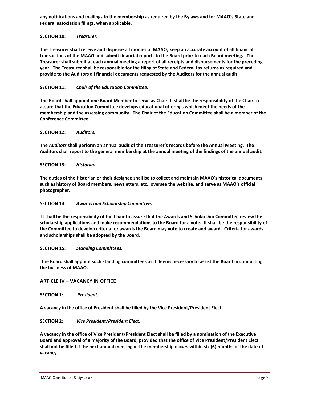**any notifications and mailings to the membership as required by the Bylaws and for MAAO's State and Federal association filings, when applicable.** 

#### **SECTION 10:** *Treasurer.*

**The Treasurer shall receive and disperse all monies of MAAO; keep an accurate account of all financial transactions of the MAAO and submit financial reports to the Board prior to each Board meeting. The Treasurer shall submit at each annual meeting a report of all receipts and disbursements for the preceding year. The Treasurer shall be responsible for the filing of State and Federal tax returns as required and provide to the Auditors all financial documents requested by the Auditors for the annual audit.** 

#### **SECTION 11:** *Chair of the Education Committee***.**

**The Board shall appoint one Board Member to serve as Chair. It shall be the responsibility of the Chair to assure that the Education Committee develops educational offerings which meet the needs of the membership and the assessing community. The Chair of the Education Committee shall be a member of the Conference Committee**

#### **SECTION 12:** *Auditors.*

**The** *Auditors* **shall perform an annual audit of the Treasurer's records before the Annual Meeting. The Auditors shall report to the general membership at the annual meeting of the findings of the annual audit.**

#### **SECTION 13:** *Historian.*

**The duties of the Historian or their designee shall be to collect and maintain MAAO's historical documents such as history of Board members, newsletters, etc., oversee the website, and serve as MAAO's official photographer.** 

#### **SECTION 14:** *Awards and Scholarship Committee***.**

**It shall be the responsibility of the Chair to assure that the Awards and Scholarship Committee review the scholarship applications and make recommendations to the Board for a vote. It shall be the responsibility of the Committee to develop criteria for awards the Board may vote to create and award. Criteria for awards and scholarships shall be adopted by the Board.**

#### **SECTION 15:** *Standing Committees***.**

**The Board shall appoint such standing committees as it deems necessary to assist the Board in conducting the business of MAAO.** 

# **ARTICLE IV – VACANCY IN OFFICE**

**SECTION 1:** *President.* 

**A vacancy in the office of President shall be filled by the Vice President/President Elect.**

# **SECTION 2:** *Vice President/President Elect.*

**A vacancy in the office of Vice President/President Elect shall be filled by a nomination of the Executive Board and approval of a majority of the Board, provided that the office of Vice President/President Elect shall not be filled if the next annual meeting of the membership occurs within six (6) months of the date of vacancy.**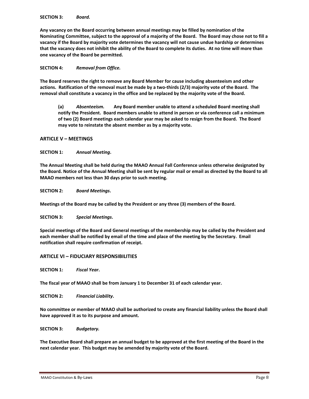**Any vacancy on the Board occurring between annual meetings may be filled by nomination of the Nominating Committee, subject to the approval of a majority of the Board. The Board may chose not to fill a vacancy if the Board by majority vote determines the vacancy will not cause undue hardship or determines that the vacancy does not inhibit the ability of the Board to complete its duties. At no time will more than one vacancy of the Board be permitted.**

# **SECTION 4:** *Removal from Office.*

**The Board reserves the right to remove any Board Member for cause including absenteeism and other actions. Ratification of the removal must be made by a two-thirds (2/3) majority vote of the Board. The removal shall constitute a vacancy in the office and be replaced by the majority vote of the Board.**

**(a)** *Absenteeism.* **Any Board member unable to attend a scheduled Board meeting shall notify the President. Board members unable to attend in person or via conference call a minimum of two (2) Board meetings each calendar year may be asked to resign from the Board. The Board may vote to reinstate the absent member as by a majority vote.**

# **ARTICLE V – MEETINGS**

**SECTION 1:** *Annual Meeting***.** 

**The Annual Meeting shall be held during the MAAO Annual Fall Conference unless otherwise designated by the Board. Notice of the Annual Meeting shall be sent by regular mail or email as directed by the Board to all MAAO members not less than 30 days prior to such meeting.** 

**SECTION 2:** *Board Meetings***.** 

**Meetings of the Board may be called by the President or any three (3) members of the Board.**

**SECTION 3:** *Special Meetings***.** 

**Special meetings of the Board and General meetings of the membership may be called by the President and each member shall be notified by email of the time and place of the meeting by the Secretary. Email notification shall require confirmation of receipt.**

# **ARTICLE VI – FIDUCIARY RESPONSIBILITIES**

**SECTION 1:** *Fiscal Year***.** 

**The fiscal year of MAAO shall be from January 1 to December 31 of each calendar year.**

**SECTION 2:** *Financial Liability***.** 

**No committee or member of MAAO shall be authorized to create any financial liability unless the Board shall have approved it as to its purpose and amount.**

**SECTION 3:** *Budgetary.*

**The Executive Board shall prepare an annual budget to be approved at the first meeting of the Board in the next calendar year. This budget may be amended by majority vote of the Board.**